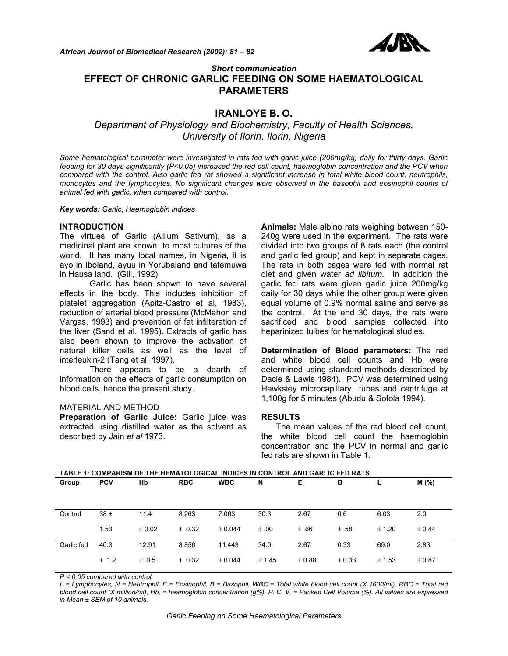

# *Short communication*  **EFFECT OF CHRONIC GARLIC FEEDING ON SOME HAEMATOLOGICAL PARAMETERS**

# **IRANLOYE B. O.**

*Department of Physiology and Biochemistry, Faculty of Health Sciences, University of Ilorin. Ilorin, Nigeria* 

*Some hematological parameter were investigated in rats fed with garlic juice (200mg/kg) daily for thirty days. Garlic feeding for 30 days significantly (P<0.05) increased the red cell count, haemoglobin concentration and the PCV when compared with the control. Also garlic fed rat showed a significant increase in total white blood count, neutrophils, monocytes and the lymphocytes. No significant changes were observed in the basophil and eosinophil counts of animal fed with garlic, when compared with control.* 

*Key words: Garlic, Haemoglobin indices* 

### **INTRODUCTION**

The virtues of Garlic (Allium Sativum), as a medicinal plant are known to most cultures of the world. It has many local names, in Nigeria, it is ayo in Iboland, ayuu in Yorubaland and tafemuwa in Hausa land. (Gill, 1992)

 Garlic has been shown to have several effects in the body. This includes inhibition of platelet aggregation (Apitz-Castro et al, 1983), reduction of arterial blood pressure (McMahon and Vargas, 1993) and prevention of fat infilteration of the liver (Sand et al, 1995). Extracts of garlic has also been shown to improve the activation of natural killer cells as well as the level of interleukin-2 (Tang et al, 1997).

 There appears to be a dearth of information on the effects of garlic consumption on blood cells, hence the present study.

## MATERIAL AND METHOD

**Preparation of Garlic Juice:** Garlic juice was extracted using distilled water as the solvent as described by Jain *et al* 1973.

**Animals:** Male albino rats weighing between 150- 240g were used in the experiment. The rats were divided into two groups of 8 rats each (the control and garlic fed group) and kept in separate cages. The rats in both cages were fed with normal rat diet and given water *ad libitum*. In addition the garlic fed rats were given garlic juice 200mg/kg daily for 30 days while the other group were given equal volume of 0.9% normal saline and serve as the control. At the end 30 days, the rats were sacrificed and blood samples collected into heparinized tuibes for hematological studies.

**Determination of Blood parameters:** The red and white blood cell counts and Hb were determined using standard methods described by Dacie & Lawis 1984). PCV was determined using Hawksley microcapillary tubes and centrifuge at 1,100g for 5 minutes (Abudu & Sofola 1994).

### **RESULTS**

 The mean values of the red blood cell count, the white blood cell count the haemoglobin concentration and the PCV in normal and garlic fed rats are shown in Table 1.

| TABLE 1: COMPARISM OF THE HEMATOLOGICAL INDICES IN CONTROL AND GARLIC FED RATS. |            |        |            |            |        |        |        |        |        |
|---------------------------------------------------------------------------------|------------|--------|------------|------------|--------|--------|--------|--------|--------|
| Group                                                                           | <b>PCV</b> | Hb     | <b>RBC</b> | <b>WBC</b> | N      | Е      | в      |        | M(%)   |
|                                                                                 |            |        |            |            |        |        |        |        |        |
| Control                                                                         | $38 \pm$   | 11.4   | 8.263      | 7.063      | 30.3   | 2.67   | 0.6    | 6.03   | 2.0    |
|                                                                                 | 1.53       | ± 0.02 | ± 0.32     | ± 0.044    | ±.00   | ±.66   | ±.58   | ± 1.20 | ± 0.44 |
| Garlic fed                                                                      | 40.3       | 12.91  | 8.856      | 11.443     | 34.0   | 2.67   | 0.33   | 69.0   | 2.83   |
|                                                                                 | ± 1.2      | ± 0.5  | ± 0.32     | ± 0.044    | ± 1.45 | ± 0.88 | ± 0.33 | ± 1.53 | ± 0.87 |

*P < 0.05 compared with control* 

*L = Lymphocytes, N = Neutrophil, E = Eosinophil, B = Basophil, WBC = Total white blood cell count (X 1000/ml), RBC = Total red blood cell count (X million/ml), Hb. = heamoglobin concentration (g%), P. C. V. = Packed Cell Volume (%). All values are expressed in Mean ± SEM of 10 animals.*